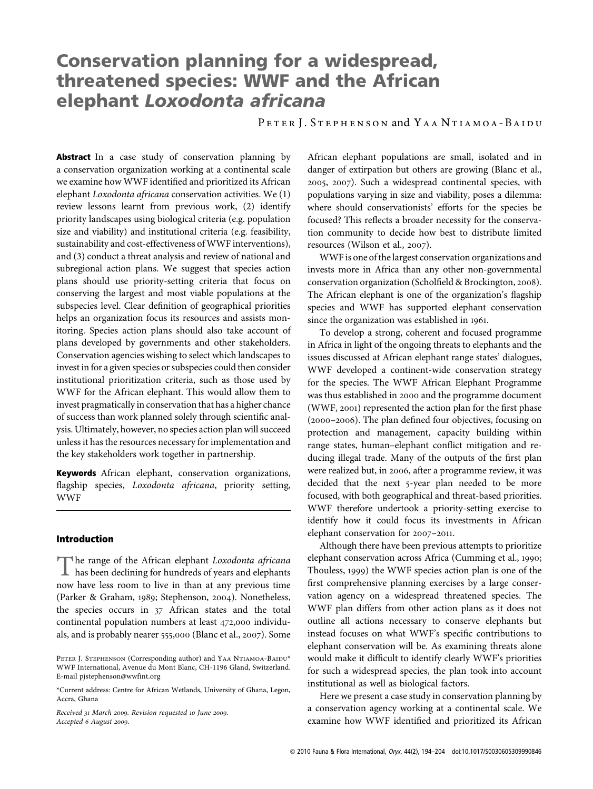# Conservation planning for a widespread, threatened species: WWF and the African elephant Loxodonta africana

PETER J. STEPHENSON and YAA NTIAMOA-BAIDU

Abstract In a case study of conservation planning by a conservation organization working at a continental scale we examine how WWF identified and prioritized its African elephant Loxodonta africana conservation activities. We (1) review lessons learnt from previous work, (2) identify priority landscapes using biological criteria (e.g. population size and viability) and institutional criteria (e.g. feasibility, sustainability and cost-effectiveness of WWF interventions), and (3) conduct a threat analysis and review of national and subregional action plans. We suggest that species action plans should use priority-setting criteria that focus on conserving the largest and most viable populations at the subspecies level. Clear definition of geographical priorities helps an organization focus its resources and assists monitoring. Species action plans should also take account of plans developed by governments and other stakeholders. Conservation agencies wishing to select which landscapes to invest in for a given species or subspecies could then consider institutional prioritization criteria, such as those used by WWF for the African elephant. This would allow them to invest pragmatically in conservation that has a higher chance of success than work planned solely through scientific analysis. Ultimately, however, no species action plan will succeed unless it has the resources necessary for implementation and the key stakeholders work together in partnership.

Keywords African elephant, conservation organizations, flagship species, Loxodonta africana, priority setting, WWF

#### Introduction

The range of the African elephant Loxodonta africana<br>has been declining for hundreds of years and elephants now have less room to live in than at any previous time (Parker & Graham, 1989; Stephenson, 2004). Nonetheless, the species occurs in 37 African states and the total continental population numbers at least 472,000 individuals, and is probably nearer 555,000 (Blanc et al., 2007). Some

Received 31 March 2009. Revision requested 10 June 2009. Accepted 6 August 2009.

African elephant populations are small, isolated and in danger of extirpation but others are growing (Blanc et al., 2005, 2007). Such a widespread continental species, with populations varying in size and viability, poses a dilemma: where should conservationists' efforts for the species be focused? This reflects a broader necessity for the conservation community to decide how best to distribute limited resources (Wilson et al., 2007).

WWF is one of the largest conservation organizations and invests more in Africa than any other non-governmental conservation organization (Scholfield & Brockington, 2008). The African elephant is one of the organization's flagship species and WWF has supported elephant conservation since the organization was established in 1961.

To develop a strong, coherent and focused programme in Africa in light of the ongoing threats to elephants and the issues discussed at African elephant range states' dialogues, WWF developed a continent-wide conservation strategy for the species. The WWF African Elephant Programme was thus established in 2000 and the programme document (WWF, 2001) represented the action plan for the first phase (2000–2006). The plan defined four objectives, focusing on protection and management, capacity building within range states, human–elephant conflict mitigation and reducing illegal trade. Many of the outputs of the first plan were realized but, in 2006, after a programme review, it was decided that the next 5-year plan needed to be more focused, with both geographical and threat-based priorities. WWF therefore undertook a priority-setting exercise to identify how it could focus its investments in African elephant conservation for 2007–2011.

Although there have been previous attempts to prioritize elephant conservation across Africa (Cumming et al., 1990; Thouless, 1999) the WWF species action plan is one of the first comprehensive planning exercises by a large conservation agency on a widespread threatened species. The WWF plan differs from other action plans as it does not outline all actions necessary to conserve elephants but instead focuses on what WWF's specific contributions to elephant conservation will be. As examining threats alone would make it difficult to identify clearly WWF's priorities for such a widespread species, the plan took into account institutional as well as biological factors.

Here we present a case study in conservation planning by a conservation agency working at a continental scale. We examine how WWF identified and prioritized its African

PETER J. STEPHENSON (Corresponding author) and YAA NTIAMOA-BAIDU\* WWF International, Avenue du Mont Blanc, CH-1196 Gland, Switzerland. E-mail pjstephenson@wwfint.org

<sup>\*</sup>Current address: Centre for African Wetlands, University of Ghana, Legon, Accra, Ghana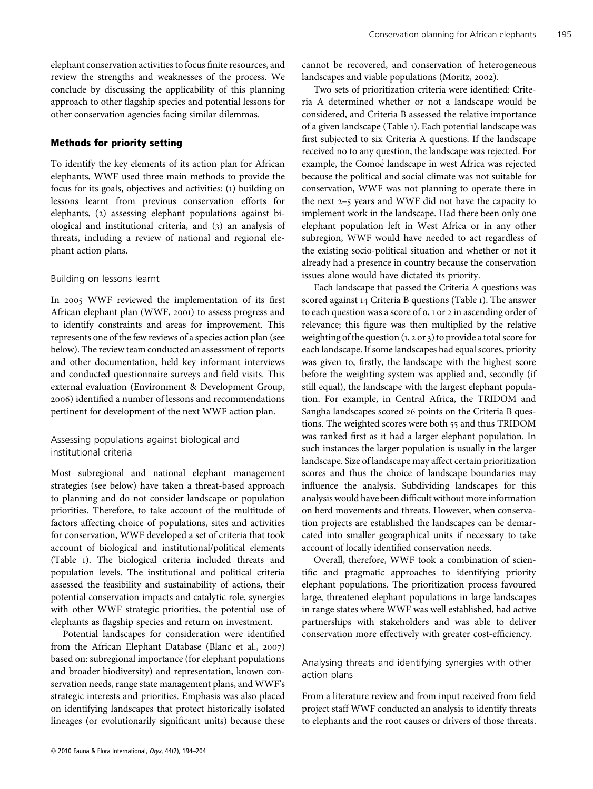elephant conservation activities to focus finite resources, and review the strengths and weaknesses of the process. We conclude by discussing the applicability of this planning approach to other flagship species and potential lessons for other conservation agencies facing similar dilemmas.

## Methods for priority setting

To identify the key elements of its action plan for African elephants, WWF used three main methods to provide the focus for its goals, objectives and activities: (1) building on lessons learnt from previous conservation efforts for elephants, (2) assessing elephant populations against biological and institutional criteria, and (3) an analysis of threats, including a review of national and regional elephant action plans.

## Building on lessons learnt

In 2005 WWF reviewed the implementation of its first African elephant plan (WWF, 2001) to assess progress and to identify constraints and areas for improvement. This represents one of the few reviews of a species action plan (see below). The review team conducted an assessment of reports and other documentation, held key informant interviews and conducted questionnaire surveys and field visits. This external evaluation (Environment & Development Group, 2006) identified a number of lessons and recommendations pertinent for development of the next WWF action plan.

## Assessing populations against biological and institutional criteria

Most subregional and national elephant management strategies (see below) have taken a threat-based approach to planning and do not consider landscape or population priorities. Therefore, to take account of the multitude of factors affecting choice of populations, sites and activities for conservation, WWF developed a set of criteria that took account of biological and institutional/political elements (Table 1). The biological criteria included threats and population levels. The institutional and political criteria assessed the feasibility and sustainability of actions, their potential conservation impacts and catalytic role, synergies with other WWF strategic priorities, the potential use of elephants as flagship species and return on investment.

Potential landscapes for consideration were identified from the African Elephant Database (Blanc et al., 2007) based on: subregional importance (for elephant populations and broader biodiversity) and representation, known conservation needs, range state management plans, and WWF's strategic interests and priorities. Emphasis was also placed on identifying landscapes that protect historically isolated lineages (or evolutionarily significant units) because these

cannot be recovered, and conservation of heterogeneous landscapes and viable populations (Moritz, 2002).

Two sets of prioritization criteria were identified: Criteria A determined whether or not a landscape would be considered, and Criteria B assessed the relative importance of a given landscape (Table 1). Each potential landscape was first subjected to six Criteria A questions. If the landscape received no to any question, the landscape was rejected. For example, the Comoé landscape in west Africa was rejected because the political and social climate was not suitable for conservation, WWF was not planning to operate there in the next 2–5 years and WWF did not have the capacity to implement work in the landscape. Had there been only one elephant population left in West Africa or in any other subregion, WWF would have needed to act regardless of the existing socio-political situation and whether or not it already had a presence in country because the conservation issues alone would have dictated its priority.

Each landscape that passed the Criteria A questions was scored against 14 Criteria B questions (Table 1). The answer to each question was a score of 0, 1 or 2 in ascending order of relevance; this figure was then multiplied by the relative weighting of the question  $(1, 2 \text{ or } 3)$  to provide a total score for each landscape. If some landscapes had equal scores, priority was given to, firstly, the landscape with the highest score before the weighting system was applied and, secondly (if still equal), the landscape with the largest elephant population. For example, in Central Africa, the TRIDOM and Sangha landscapes scored 26 points on the Criteria B questions. The weighted scores were both 55 and thus TRIDOM was ranked first as it had a larger elephant population. In such instances the larger population is usually in the larger landscape. Size of landscape may affect certain prioritization scores and thus the choice of landscape boundaries may influence the analysis. Subdividing landscapes for this analysis would have been difficult without more information on herd movements and threats. However, when conservation projects are established the landscapes can be demarcated into smaller geographical units if necessary to take account of locally identified conservation needs.

Overall, therefore, WWF took a combination of scientific and pragmatic approaches to identifying priority elephant populations. The prioritization process favoured large, threatened elephant populations in large landscapes in range states where WWF was well established, had active partnerships with stakeholders and was able to deliver conservation more effectively with greater cost-efficiency.

# Analysing threats and identifying synergies with other action plans

From a literature review and from input received from field project staff WWF conducted an analysis to identify threats to elephants and the root causes or drivers of those threats.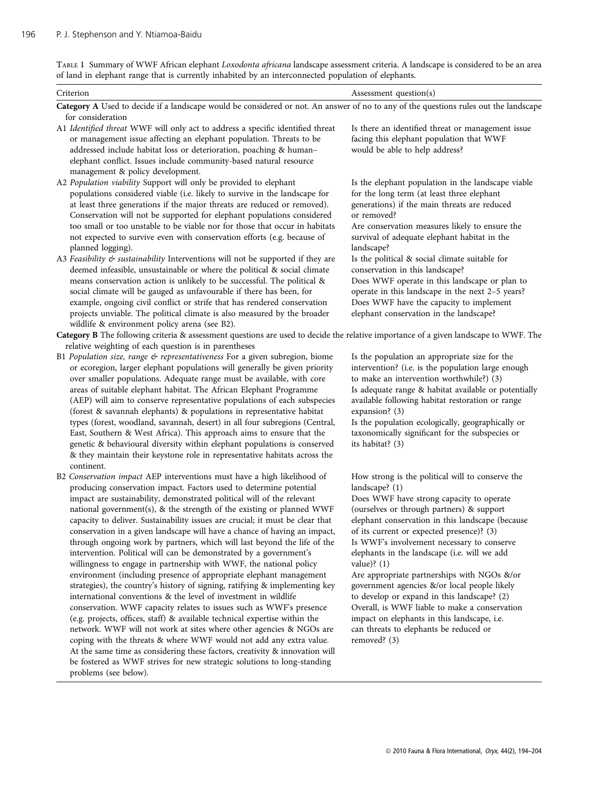TABLE 1 Summary of WWF African elephant Loxodonta africana landscape assessment criteria. A landscape is considered to be an area of land in elephant range that is currently inhabited by an interconnected population of elephants.

| Criterion                                                                                                                                              | Assessment question(s)                                                                        |
|--------------------------------------------------------------------------------------------------------------------------------------------------------|-----------------------------------------------------------------------------------------------|
| Category A Used to decide if a landscape would be considered or not. An answer of no to any of the questions rules out the landscape                   |                                                                                               |
| for consideration                                                                                                                                      |                                                                                               |
| A1 Identified threat WWF will only act to address a specific identified threat                                                                         | Is there an identified threat or management issue                                             |
| or management issue affecting an elephant population. Threats to be<br>addressed include habitat loss or deterioration, poaching & human-              | facing this elephant population that WWF<br>would be able to help address?                    |
| elephant conflict. Issues include community-based natural resource                                                                                     |                                                                                               |
| management & policy development.                                                                                                                       |                                                                                               |
| A2 Population viability Support will only be provided to elephant                                                                                      | Is the elephant population in the landscape viable                                            |
| populations considered viable (i.e. likely to survive in the landscape for                                                                             | for the long term (at least three elephant                                                    |
| at least three generations if the major threats are reduced or removed).                                                                               | generations) if the main threats are reduced                                                  |
| Conservation will not be supported for elephant populations considered                                                                                 | or removed?                                                                                   |
| too small or too unstable to be viable nor for those that occur in habitats                                                                            | Are conservation measures likely to ensure the                                                |
| not expected to survive even with conservation efforts (e.g. because of                                                                                | survival of adequate elephant habitat in the                                                  |
| planned logging).                                                                                                                                      | landscape?                                                                                    |
| A3 Feasibility & sustainability Interventions will not be supported if they are                                                                        | Is the political & social climate suitable for                                                |
| deemed infeasible, unsustainable or where the political & social climate                                                                               | conservation in this landscape?                                                               |
| means conservation action is unlikely to be successful. The political &                                                                                | Does WWF operate in this landscape or plan to                                                 |
| social climate will be gauged as unfavourable if there has been, for                                                                                   | operate in this landscape in the next 2-5 years?                                              |
| example, ongoing civil conflict or strife that has rendered conservation                                                                               | Does WWF have the capacity to implement                                                       |
| projects unviable. The political climate is also measured by the broader                                                                               | elephant conservation in the landscape?                                                       |
| wildlife & environment policy arena (see B2).                                                                                                          |                                                                                               |
| Category B The following criteria & assessment questions are used to decide the relative importance of a given landscape to WWF. The                   |                                                                                               |
| relative weighting of each question is in parentheses                                                                                                  |                                                                                               |
| B1 Population size, range & representativeness For a given subregion, biome                                                                            | Is the population an appropriate size for the                                                 |
| or ecoregion, larger elephant populations will generally be given priority                                                                             | intervention? (i.e. is the population large enough                                            |
| over smaller populations. Adequate range must be available, with core                                                                                  | to make an intervention worthwhile?) (3)                                                      |
| areas of suitable elephant habitat. The African Elephant Programme                                                                                     | Is adequate range & habitat available or potentially                                          |
| (AEP) will aim to conserve representative populations of each subspecies                                                                               | available following habitat restoration or range                                              |
| (forest & savannah elephants) & populations in representative habitat                                                                                  | expansion? (3)                                                                                |
| types (forest, woodland, savannah, desert) in all four subregions (Central,                                                                            | Is the population ecologically, geographically or                                             |
| East, Southern & West Africa). This approach aims to ensure that the                                                                                   | taxonomically significant for the subspecies or                                               |
| genetic & behavioural diversity within elephant populations is conserved                                                                               | its habitat? (3)                                                                              |
| & they maintain their keystone role in representative habitats across the                                                                              |                                                                                               |
| continent.                                                                                                                                             |                                                                                               |
| B2 Conservation impact AEP interventions must have a high likelihood of                                                                                | How strong is the political will to conserve the                                              |
| producing conservation impact. Factors used to determine potential                                                                                     | landscape? (1)                                                                                |
| impact are sustainability, demonstrated political will of the relevant                                                                                 | Does WWF have strong capacity to operate                                                      |
| national government(s), & the strength of the existing or planned WWF<br>capacity to deliver. Sustainability issues are crucial; it must be clear that | (ourselves or through partners) & support<br>elephant conservation in this landscape (because |
| conservation in a given landscape will have a chance of having an impact,                                                                              | of its current or expected presence)? (3)                                                     |
| through ongoing work by partners, which will last beyond the life of the                                                                               | Is WWF's involvement necessary to conserve                                                    |
| intervention. Political will can be demonstrated by a government's                                                                                     | elephants in the landscape (i.e. will we add                                                  |
| willingness to engage in partnership with WWF, the national policy                                                                                     | value)? $(1)$                                                                                 |
| environment (including presence of appropriate elephant management                                                                                     | Are appropriate partnerships with NGOs &/or                                                   |
| strategies), the country's history of signing, ratifying & implementing key                                                                            | government agencies &/or local people likely                                                  |
| international conventions & the level of investment in wildlife                                                                                        | to develop or expand in this landscape? (2)                                                   |
| conservation. WWF capacity relates to issues such as WWF's presence                                                                                    | Overall, is WWF liable to make a conservation                                                 |
| (e.g. projects, offices, staff) & available technical expertise within the                                                                             | impact on elephants in this landscape, i.e.                                                   |
| network. WWF will not work at sites where other agencies & NGOs are                                                                                    | can threats to elephants be reduced or                                                        |
| coping with the threats & where WWF would not add any extra value.                                                                                     | removed? $(3)$                                                                                |
| At the same time as considering these factors, creativity & innovation will                                                                            |                                                                                               |
| be fostered as WWF strives for new strategic solutions to long-standing                                                                                |                                                                                               |
| problems (see below).                                                                                                                                  |                                                                                               |
|                                                                                                                                                        |                                                                                               |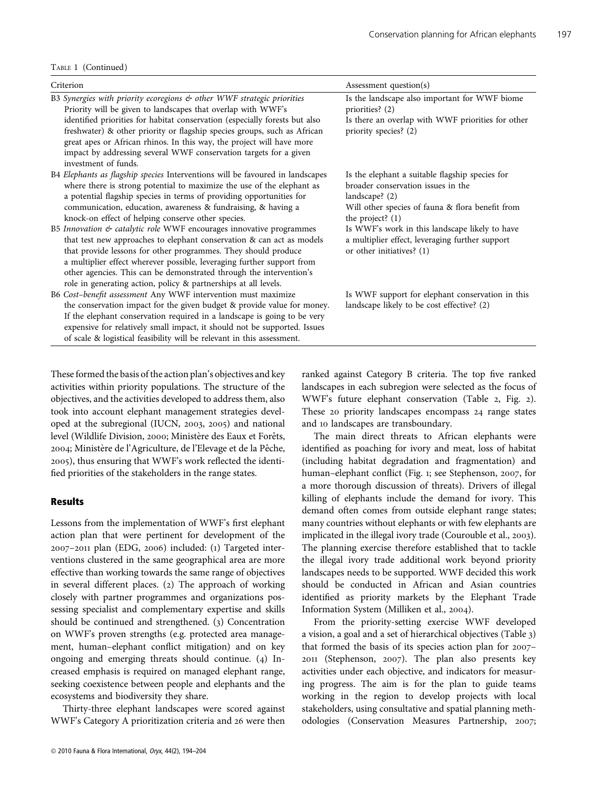#### TABLE 1 (Continued)

| Criterion                                                                                                                                                                                                                                                                                                                                                                                                                                                               | Assessment question(s)                                                                                                                                                            |
|-------------------------------------------------------------------------------------------------------------------------------------------------------------------------------------------------------------------------------------------------------------------------------------------------------------------------------------------------------------------------------------------------------------------------------------------------------------------------|-----------------------------------------------------------------------------------------------------------------------------------------------------------------------------------|
| B3 Synergies with priority ecoregions & other WWF strategic priorities<br>Priority will be given to landscapes that overlap with WWF's<br>identified priorities for habitat conservation (especially forests but also<br>freshwater) & other priority or flagship species groups, such as African<br>great apes or African rhinos. In this way, the project will have more<br>impact by addressing several WWF conservation targets for a given<br>investment of funds. | Is the landscape also important for WWF biome<br>priorities? (2)<br>Is there an overlap with WWF priorities for other<br>priority species? (2)                                    |
| B4 Elephants as flagship species Interventions will be favoured in landscapes<br>where there is strong potential to maximize the use of the elephant as<br>a potential flagship species in terms of providing opportunities for<br>communication, education, awareness & fundraising, & having a<br>knock-on effect of helping conserve other species.                                                                                                                  | Is the elephant a suitable flagship species for<br>broader conservation issues in the<br>landscape? (2)<br>Will other species of fauna & flora benefit from<br>the project? $(1)$ |
| B5 Innovation & catalytic role WWF encourages innovative programmes<br>that test new approaches to elephant conservation & can act as models<br>that provide lessons for other programmes. They should produce<br>a multiplier effect wherever possible, leveraging further support from<br>other agencies. This can be demonstrated through the intervention's<br>role in generating action, policy & partnerships at all levels.                                      | Is WWF's work in this landscape likely to have<br>a multiplier effect, leveraging further support<br>or other initiatives? (1)                                                    |
| B6 Cost-benefit assessment Any WWF intervention must maximize<br>the conservation impact for the given budget & provide value for money.<br>If the elephant conservation required in a landscape is going to be very<br>expensive for relatively small impact, it should not be supported. Issues                                                                                                                                                                       | Is WWF support for elephant conservation in this<br>landscape likely to be cost effective? (2)                                                                                    |

These formed the basis of the action plan's objectives and key activities within priority populations. The structure of the objectives, and the activities developed to address them, also took into account elephant management strategies developed at the subregional (IUCN, 2003, 2005) and national level (Wildlife Division, 2000; Ministère des Eaux et Forêts, 2004; Ministère de l'Agriculture, de l'Elevage et de la Pêche, 2005), thus ensuring that WWF's work reflected the identified priorities of the stakeholders in the range states.

of scale & logistical feasibility will be relevant in this assessment.

## **Results**

Lessons from the implementation of WWF's first elephant action plan that were pertinent for development of the 2007–2011 plan (EDG, 2006) included: (1) Targeted interventions clustered in the same geographical area are more effective than working towards the same range of objectives in several different places. (2) The approach of working closely with partner programmes and organizations possessing specialist and complementary expertise and skills should be continued and strengthened. (3) Concentration on WWF's proven strengths (e.g. protected area management, human–elephant conflict mitigation) and on key ongoing and emerging threats should continue. (4) Increased emphasis is required on managed elephant range, seeking coexistence between people and elephants and the ecosystems and biodiversity they share.

Thirty-three elephant landscapes were scored against WWF's Category A prioritization criteria and 26 were then ranked against Category B criteria. The top five ranked landscapes in each subregion were selected as the focus of WWF's future elephant conservation (Table 2, Fig. 2). These 20 priority landscapes encompass 24 range states and 10 landscapes are transboundary.

The main direct threats to African elephants were identified as poaching for ivory and meat, loss of habitat (including habitat degradation and fragmentation) and human–elephant conflict (Fig. 1; see Stephenson, 2007, for a more thorough discussion of threats). Drivers of illegal killing of elephants include the demand for ivory. This demand often comes from outside elephant range states; many countries without elephants or with few elephants are implicated in the illegal ivory trade (Courouble et al., 2003). The planning exercise therefore established that to tackle the illegal ivory trade additional work beyond priority landscapes needs to be supported. WWF decided this work should be conducted in African and Asian countries identified as priority markets by the Elephant Trade Information System (Milliken et al., 2004).

From the priority-setting exercise WWF developed a vision, a goal and a set of hierarchical objectives (Table 3) that formed the basis of its species action plan for 2007– 2011 (Stephenson, 2007). The plan also presents key activities under each objective, and indicators for measuring progress. The aim is for the plan to guide teams working in the region to develop projects with local stakeholders, using consultative and spatial planning methodologies (Conservation Measures Partnership, 2007;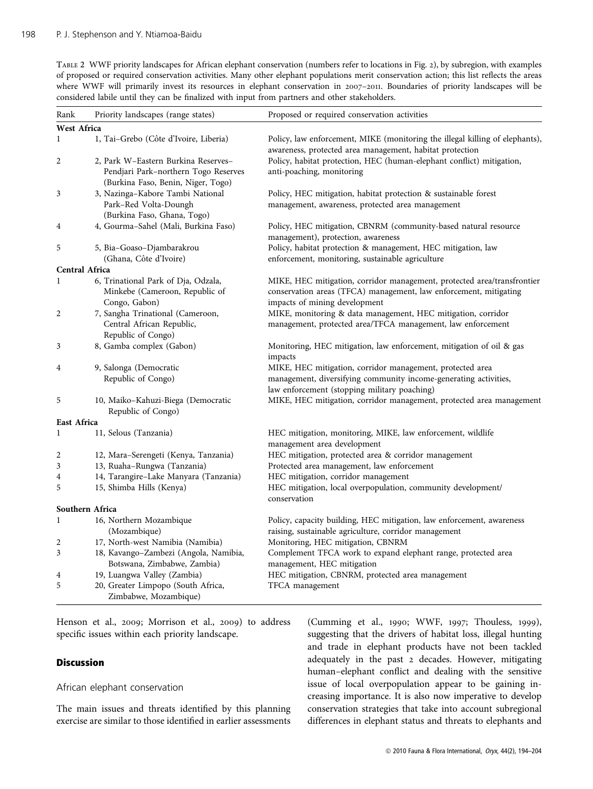TABLE 2 WWF priority landscapes for African elephant conservation (numbers refer to locations in Fig. 2), by subregion, with examples of proposed or required conservation activities. Many other elephant populations merit conservation action; this list reflects the areas where WWF will primarily invest its resources in elephant conservation in 2007–2011. Boundaries of priority landscapes will be considered labile until they can be finalized with input from partners and other stakeholders.

| Rank               | Priority landscapes (range states)                                                                                | Proposed or required conservation activities                                                                                                                                  |
|--------------------|-------------------------------------------------------------------------------------------------------------------|-------------------------------------------------------------------------------------------------------------------------------------------------------------------------------|
| <b>West Africa</b> |                                                                                                                   |                                                                                                                                                                               |
| 1                  | 1, Tai-Grebo (Côte d'Ivoire, Liberia)                                                                             | Policy, law enforcement, MIKE (monitoring the illegal killing of elephants),<br>awareness, protected area management, habitat protection                                      |
| 2                  | 2, Park W-Eastern Burkina Reserves-<br>Pendjari Park-northern Togo Reserves<br>(Burkina Faso, Benin, Niger, Togo) | Policy, habitat protection, HEC (human-elephant conflict) mitigation,<br>anti-poaching, monitoring                                                                            |
| 3                  | 3, Nazinga-Kabore Tambi National<br>Park-Red Volta-Doungh<br>(Burkina Faso, Ghana, Togo)                          | Policy, HEC mitigation, habitat protection & sustainable forest<br>management, awareness, protected area management                                                           |
| 4                  | 4, Gourma–Sahel (Mali, Burkina Faso)                                                                              | Policy, HEC mitigation, CBNRM (community-based natural resource<br>management), protection, awareness                                                                         |
| 5                  | 5, Bia-Goaso-Djambarakrou<br>(Ghana, Côte d'Ivoire)                                                               | Policy, habitat protection & management, HEC mitigation, law<br>enforcement, monitoring, sustainable agriculture                                                              |
| Central Africa     |                                                                                                                   |                                                                                                                                                                               |
| 1                  | 6, Trinational Park of Dja, Odzala,<br>Minkebe (Cameroon, Republic of<br>Congo, Gabon)                            | MIKE, HEC mitigation, corridor management, protected area/transfrontier<br>conservation areas (TFCA) management, law enforcement, mitigating<br>impacts of mining development |
| 2                  | 7, Sangha Trinational (Cameroon,<br>Central African Republic,<br>Republic of Congo)                               | MIKE, monitoring & data management, HEC mitigation, corridor<br>management, protected area/TFCA management, law enforcement                                                   |
| 3                  | 8, Gamba complex (Gabon)                                                                                          | Monitoring, HEC mitigation, law enforcement, mitigation of oil & gas<br>impacts                                                                                               |
| 4                  | 9, Salonga (Democratic<br>Republic of Congo)                                                                      | MIKE, HEC mitigation, corridor management, protected area<br>management, diversifying community income-generating activities,<br>law enforcement (stopping military poaching) |
| 5                  | 10, Maiko-Kahuzi-Biega (Democratic<br>Republic of Congo)                                                          | MIKE, HEC mitigation, corridor management, protected area management                                                                                                          |
| East Africa        |                                                                                                                   |                                                                                                                                                                               |
| 1                  | 11, Selous (Tanzania)                                                                                             | HEC mitigation, monitoring, MIKE, law enforcement, wildlife<br>management area development                                                                                    |
| 2                  | 12, Mara–Serengeti (Kenya, Tanzania)                                                                              | HEC mitigation, protected area & corridor management                                                                                                                          |
| 3                  | 13, Ruaha-Rungwa (Tanzania)                                                                                       | Protected area management, law enforcement                                                                                                                                    |
| 4                  | 14, Tarangire-Lake Manyara (Tanzania)                                                                             | HEC mitigation, corridor management                                                                                                                                           |
| 5                  | 15, Shimba Hills (Kenya)                                                                                          | HEC mitigation, local overpopulation, community development/<br>conservation                                                                                                  |
|                    | Southern Africa                                                                                                   |                                                                                                                                                                               |
| 1                  | 16, Northern Mozambique                                                                                           | Policy, capacity building, HEC mitigation, law enforcement, awareness                                                                                                         |
|                    | (Mozambique)                                                                                                      | raising, sustainable agriculture, corridor management                                                                                                                         |
| 2                  | 17, North-west Namibia (Namibia)                                                                                  | Monitoring, HEC mitigation, CBNRM                                                                                                                                             |
| 3                  | 18, Kavango-Zambezi (Angola, Namibia,<br>Botswana, Zimbabwe, Zambia)                                              | Complement TFCA work to expand elephant range, protected area<br>management, HEC mitigation                                                                                   |
| 4                  | 19, Luangwa Valley (Zambia)                                                                                       | HEC mitigation, CBNRM, protected area management                                                                                                                              |
| 5                  | 20, Greater Limpopo (South Africa,<br>Zimbabwe, Mozambique)                                                       | TFCA management                                                                                                                                                               |

Henson et al., 2009; Morrison et al., 2009) to address specific issues within each priority landscape.

# **Discussion**

African elephant conservation

The main issues and threats identified by this planning exercise are similar to those identified in earlier assessments

(Cumming et al., 1990; WWF, 1997; Thouless, 1999), suggesting that the drivers of habitat loss, illegal hunting and trade in elephant products have not been tackled adequately in the past 2 decades. However, mitigating human–elephant conflict and dealing with the sensitive issue of local overpopulation appear to be gaining increasing importance. It is also now imperative to develop conservation strategies that take into account subregional differences in elephant status and threats to elephants and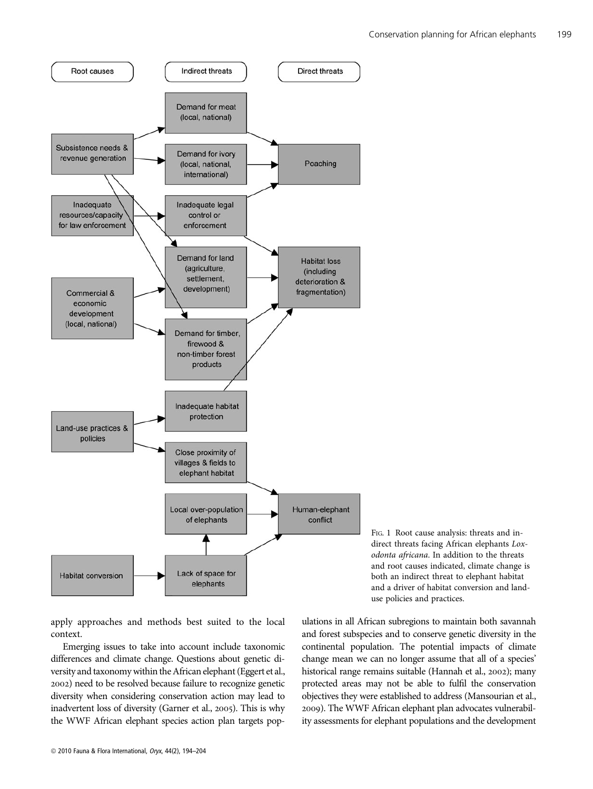



apply approaches and methods best suited to the local context.

Emerging issues to take into account include taxonomic differences and climate change. Questions about genetic diversity and taxonomy within the African elephant (Eggert et al., 2002) need to be resolved because failure to recognize genetic diversity when considering conservation action may lead to inadvertent loss of diversity (Garner et al., 2005). This is why the WWF African elephant species action plan targets populations in all African subregions to maintain both savannah and forest subspecies and to conserve genetic diversity in the continental population. The potential impacts of climate change mean we can no longer assume that all of a species' historical range remains suitable (Hannah et al., 2002); many protected areas may not be able to fulfil the conservation objectives they were established to address (Mansourian et al., 2009). The WWF African elephant plan advocates vulnerability assessments for elephant populations and the development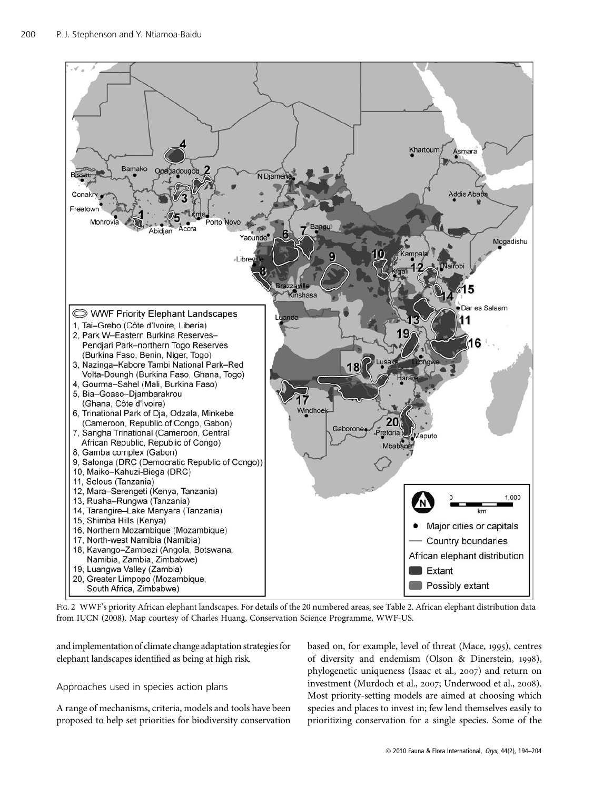

FIG. 2 WWF's priority African elephant landscapes. For details of the 20 numbered areas, see Table 2. African elephant distribution data from IUCN (2008). Map courtesy of Charles Huang, Conservation Science Programme, WWF-US.

and implementation of climate change adaptation strategies for elephant landscapes identified as being at high risk.

## Approaches used in species action plans

A range of mechanisms, criteria, models and tools have been proposed to help set priorities for biodiversity conservation based on, for example, level of threat (Mace, 1995), centres of diversity and endemism (Olson & Dinerstein, 1998), phylogenetic uniqueness (Isaac et al., 2007) and return on investment (Murdoch et al., 2007; Underwood et al., 2008). Most priority-setting models are aimed at choosing which species and places to invest in; few lend themselves easily to prioritizing conservation for a single species. Some of the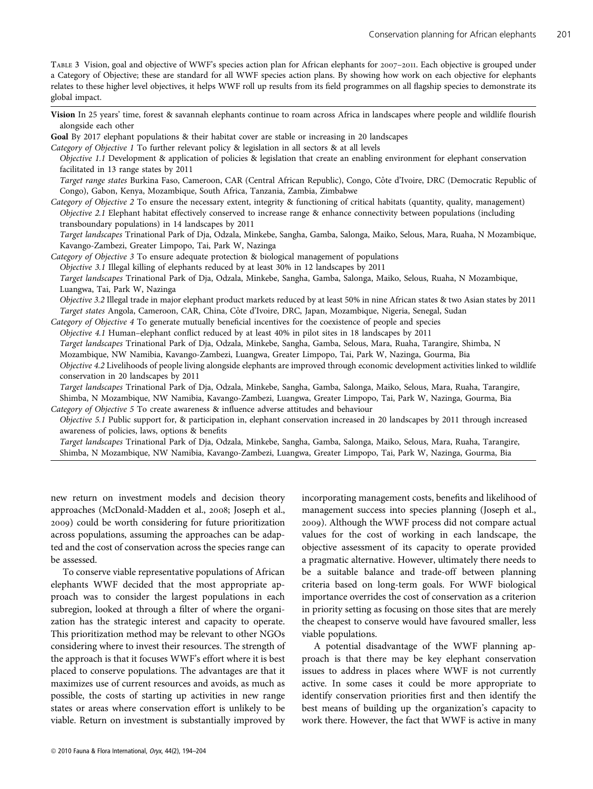TABLE 3 Vision, goal and objective of WWF's species action plan for African elephants for 2007–2011. Each objective is grouped under a Category of Objective; these are standard for all WWF species action plans. By showing how work on each objective for elephants relates to these higher level objectives, it helps WWF roll up results from its field programmes on all flagship species to demonstrate its global impact.

Vision In 25 years' time, forest & savannah elephants continue to roam across Africa in landscapes where people and wildlife flourish alongside each other

Goal By 2017 elephant populations & their habitat cover are stable or increasing in 20 landscapes

Category of Objective 1 To further relevant policy & legislation in all sectors & at all levels

Objective 1.1 Development & application of policies & legislation that create an enabling environment for elephant conservation facilitated in 13 range states by 2011

Target range states Burkina Faso, Cameroon, CAR (Central African Republic), Congo, Côte d'Ivoire, DRC (Democratic Republic of Congo), Gabon, Kenya, Mozambique, South Africa, Tanzania, Zambia, Zimbabwe

Category of Objective 2 To ensure the necessary extent, integrity & functioning of critical habitats (quantity, quality, management) Objective 2.1 Elephant habitat effectively conserved to increase range & enhance connectivity between populations (including transboundary populations) in 14 landscapes by 2011

Target landscapes Trinational Park of Dja, Odzala, Minkebe, Sangha, Gamba, Salonga, Maiko, Selous, Mara, Ruaha, N Mozambique, Kavango-Zambezi, Greater Limpopo, Tai, Park W, Nazinga

Category of Objective 3 To ensure adequate protection & biological management of populations

Objective 3.1 Illegal killing of elephants reduced by at least 30% in 12 landscapes by 2011

Target landscapes Trinational Park of Dja, Odzala, Minkebe, Sangha, Gamba, Salonga, Maiko, Selous, Ruaha, N Mozambique, Luangwa, Tai, Park W, Nazinga

Objective 3.2 Illegal trade in major elephant product markets reduced by at least 50% in nine African states & two Asian states by 2011 Target states Angola, Cameroon, CAR, China, Côte d'Ivoire, DRC, Japan, Mozambique, Nigeria, Senegal, Sudan

Category of Objective 4 To generate mutually beneficial incentives for the coexistence of people and species

Objective 4.1 Human–elephant conflict reduced by at least 40% in pilot sites in 18 landscapes by 2011 Target landscapes Trinational Park of Dja, Odzala, Minkebe, Sangha, Gamba, Selous, Mara, Ruaha, Tarangire, Shimba, N Mozambique, NW Namibia, Kavango-Zambezi, Luangwa, Greater Limpopo, Tai, Park W, Nazinga, Gourma, Bia Objective 4.2 Livelihoods of people living alongside elephants are improved through economic development activities linked to wildlife

conservation in 20 landscapes by 2011 Target landscapes Trinational Park of Dja, Odzala, Minkebe, Sangha, Gamba, Salonga, Maiko, Selous, Mara, Ruaha, Tarangire,

Shimba, N Mozambique, NW Namibia, Kavango-Zambezi, Luangwa, Greater Limpopo, Tai, Park W, Nazinga, Gourma, Bia Category of Objective 5 To create awareness & influence adverse attitudes and behaviour

Objective 5.1 Public support for, & participation in, elephant conservation increased in 20 landscapes by 2011 through increased awareness of policies, laws, options & benefits

Target landscapes Trinational Park of Dja, Odzala, Minkebe, Sangha, Gamba, Salonga, Maiko, Selous, Mara, Ruaha, Tarangire, Shimba, N Mozambique, NW Namibia, Kavango-Zambezi, Luangwa, Greater Limpopo, Tai, Park W, Nazinga, Gourma, Bia

new return on investment models and decision theory approaches (McDonald-Madden et al., 2008; Joseph et al., 2009) could be worth considering for future prioritization across populations, assuming the approaches can be adapted and the cost of conservation across the species range can be assessed.

To conserve viable representative populations of African elephants WWF decided that the most appropriate approach was to consider the largest populations in each subregion, looked at through a filter of where the organization has the strategic interest and capacity to operate. This prioritization method may be relevant to other NGOs considering where to invest their resources. The strength of the approach is that it focuses WWF's effort where it is best placed to conserve populations. The advantages are that it maximizes use of current resources and avoids, as much as possible, the costs of starting up activities in new range states or areas where conservation effort is unlikely to be viable. Return on investment is substantially improved by incorporating management costs, benefits and likelihood of management success into species planning (Joseph et al., 2009). Although the WWF process did not compare actual values for the cost of working in each landscape, the objective assessment of its capacity to operate provided a pragmatic alternative. However, ultimately there needs to be a suitable balance and trade-off between planning criteria based on long-term goals. For WWF biological importance overrides the cost of conservation as a criterion in priority setting as focusing on those sites that are merely the cheapest to conserve would have favoured smaller, less viable populations.

A potential disadvantage of the WWF planning approach is that there may be key elephant conservation issues to address in places where WWF is not currently active. In some cases it could be more appropriate to identify conservation priorities first and then identify the best means of building up the organization's capacity to work there. However, the fact that WWF is active in many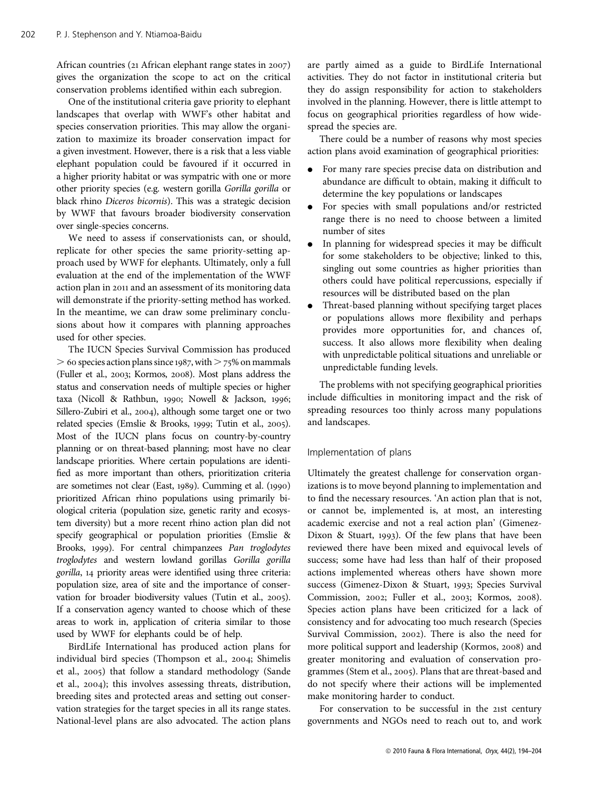African countries (21 African elephant range states in 2007) gives the organization the scope to act on the critical conservation problems identified within each subregion.

One of the institutional criteria gave priority to elephant landscapes that overlap with WWF's other habitat and species conservation priorities. This may allow the organization to maximize its broader conservation impact for a given investment. However, there is a risk that a less viable elephant population could be favoured if it occurred in a higher priority habitat or was sympatric with one or more other priority species (e.g. western gorilla Gorilla gorilla or black rhino Diceros bicornis). This was a strategic decision by WWF that favours broader biodiversity conservation over single-species concerns.

We need to assess if conservationists can, or should, replicate for other species the same priority-setting approach used by WWF for elephants. Ultimately, only a full evaluation at the end of the implementation of the WWF action plan in 2011 and an assessment of its monitoring data will demonstrate if the priority-setting method has worked. In the meantime, we can draw some preliminary conclusions about how it compares with planning approaches used for other species.

The IUCN Species Survival Commission has produced  $> 60$  species action plans since 1987, with  $> 75\%$  on mammals (Fuller et al., 2003; Kormos, 2008). Most plans address the status and conservation needs of multiple species or higher taxa (Nicoll & Rathbun, 1990; Nowell & Jackson, 1996; Sillero-Zubiri et al., 2004), although some target one or two related species (Emslie & Brooks, 1999; Tutin et al., 2005). Most of the IUCN plans focus on country-by-country planning or on threat-based planning; most have no clear landscape priorities. Where certain populations are identified as more important than others, prioritization criteria are sometimes not clear (East, 1989). Cumming et al. (1990) prioritized African rhino populations using primarily biological criteria (population size, genetic rarity and ecosystem diversity) but a more recent rhino action plan did not specify geographical or population priorities (Emslie & Brooks, 1999). For central chimpanzees Pan troglodytes troglodytes and western lowland gorillas Gorilla gorilla gorilla, 14 priority areas were identified using three criteria: population size, area of site and the importance of conservation for broader biodiversity values (Tutin et al., 2005). If a conservation agency wanted to choose which of these areas to work in, application of criteria similar to those used by WWF for elephants could be of help.

BirdLife International has produced action plans for individual bird species (Thompson et al., 2004; Shimelis et al., 2005) that follow a standard methodology (Sande et al., 2004); this involves assessing threats, distribution, breeding sites and protected areas and setting out conservation strategies for the target species in all its range states. National-level plans are also advocated. The action plans

are partly aimed as a guide to BirdLife International activities. They do not factor in institutional criteria but they do assign responsibility for action to stakeholders involved in the planning. However, there is little attempt to focus on geographical priorities regardless of how widespread the species are.

There could be a number of reasons why most species action plans avoid examination of geographical priorities:

- For many rare species precise data on distribution and abundance are difficult to obtain, making it difficult to determine the key populations or landscapes
- For species with small populations and/or restricted range there is no need to choose between a limited number of sites
- In planning for widespread species it may be difficult for some stakeholders to be objective; linked to this, singling out some countries as higher priorities than others could have political repercussions, especially if resources will be distributed based on the plan
- Threat-based planning without specifying target places or populations allows more flexibility and perhaps provides more opportunities for, and chances of, success. It also allows more flexibility when dealing with unpredictable political situations and unreliable or unpredictable funding levels.

The problems with not specifying geographical priorities include difficulties in monitoring impact and the risk of spreading resources too thinly across many populations and landscapes.

## Implementation of plans

Ultimately the greatest challenge for conservation organizations is to move beyond planning to implementation and to find the necessary resources. 'An action plan that is not, or cannot be, implemented is, at most, an interesting academic exercise and not a real action plan' (Gimenez-Dixon & Stuart, 1993). Of the few plans that have been reviewed there have been mixed and equivocal levels of success; some have had less than half of their proposed actions implemented whereas others have shown more success (Gimenez-Dixon & Stuart, 1993; Species Survival Commission, 2002; Fuller et al., 2003; Kormos, 2008). Species action plans have been criticized for a lack of consistency and for advocating too much research (Species Survival Commission, 2002). There is also the need for more political support and leadership (Kormos, 2008) and greater monitoring and evaluation of conservation programmes (Stem et al., 2005). Plans that are threat-based and do not specify where their actions will be implemented make monitoring harder to conduct.

For conservation to be successful in the 21st century governments and NGOs need to reach out to, and work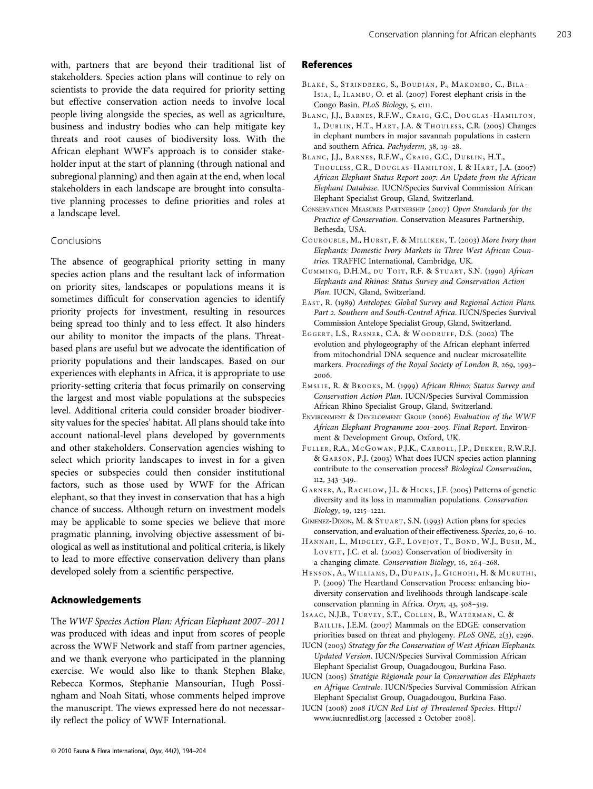with, partners that are beyond their traditional list of stakeholders. Species action plans will continue to rely on scientists to provide the data required for priority setting but effective conservation action needs to involve local people living alongside the species, as well as agriculture, business and industry bodies who can help mitigate key threats and root causes of biodiversity loss. With the African elephant WWF's approach is to consider stakeholder input at the start of planning (through national and subregional planning) and then again at the end, when local stakeholders in each landscape are brought into consultative planning processes to define priorities and roles at a landscape level.

## Conclusions

The absence of geographical priority setting in many species action plans and the resultant lack of information on priority sites, landscapes or populations means it is sometimes difficult for conservation agencies to identify priority projects for investment, resulting in resources being spread too thinly and to less effect. It also hinders our ability to monitor the impacts of the plans. Threatbased plans are useful but we advocate the identification of priority populations and their landscapes. Based on our experiences with elephants in Africa, it is appropriate to use priority-setting criteria that focus primarily on conserving the largest and most viable populations at the subspecies level. Additional criteria could consider broader biodiversity values for the species' habitat. All plans should take into account national-level plans developed by governments and other stakeholders. Conservation agencies wishing to select which priority landscapes to invest in for a given species or subspecies could then consider institutional factors, such as those used by WWF for the African elephant, so that they invest in conservation that has a high chance of success. Although return on investment models may be applicable to some species we believe that more pragmatic planning, involving objective assessment of biological as well as institutional and political criteria, is likely to lead to more effective conservation delivery than plans developed solely from a scientific perspective.

#### Acknowledgements

The WWF Species Action Plan: African Elephant 2007–2011 was produced with ideas and input from scores of people across the WWF Network and staff from partner agencies, and we thank everyone who participated in the planning exercise. We would also like to thank Stephen Blake, Rebecca Kormos, Stephanie Mansourian, Hugh Possingham and Noah Sitati, whose comments helped improve the manuscript. The views expressed here do not necessarily reflect the policy of WWF International.

## References

- BLAKE, S., STRINDBERG, S., BOUDJAN, P., MAKOMBO, C., BILA-ISIA, I., ILAMBU, O. et al. (2007) Forest elephant crisis in the Congo Basin. PLoS Biology, 5, e111.
- BLANC, J.J., BARNES, R.F.W., CRAIG, G.C., DOUGLAS-HAMILTON, I., DUBLIN, H.T., HART, J.A. & THOULESS, C.R. (2005) Changes in elephant numbers in major savannah populations in eastern and southern Africa. Pachyderm, 38, 19–28.
- BLANC, J.J., BARNES, R.F.W., CRAIG, G.C., DUBLIN, H.T., THOULESS, C.R., DOUGLAS-HAMILTON, I. & HART, J.A. (2007) African Elephant Status Report 2007: An Update from the African Elephant Database. IUCN/Species Survival Commission African Elephant Specialist Group, Gland, Switzerland.
- CONSERVATION MEASURES PARTNERSHIP (2007) Open Standards for the Practice of Conservation. Conservation Measures Partnership, Bethesda, USA.
- COUROUBLE, M., HURST, F. & MILLIKEN, T. (2003) More Ivory than Elephants: Domestic Ivory Markets in Three West African Countries. TRAFFIC International, Cambridge, UK.
- CUMMING, D.H.M., DU TOIT, R.F. & STUART, S.N. (1990) African Elephants and Rhinos: Status Survey and Conservation Action Plan. IUCN, Gland, Switzerland.
- EAST, R. (1989) Antelopes: Global Survey and Regional Action Plans. Part 2. Southern and South-Central Africa. IUCN/Species Survival Commission Antelope Specialist Group, Gland, Switzerland.
- EGGERT, L.S., RASNER, C.A. & WOODRUFF, D.S. (2002) The evolution and phylogeography of the African elephant inferred from mitochondrial DNA sequence and nuclear microsatellite markers. Proceedings of the Royal Society of London B, 269, 1993– 2006.
- EMSLIE, R. & BROOKS, M. (1999) African Rhino: Status Survey and Conservation Action Plan. IUCN/Species Survival Commission African Rhino Specialist Group, Gland, Switzerland.
- ENVIRONMENT & DEVELOPMENT GROUP (2006) Evaluation of the WWF African Elephant Programme 2001–2005. Final Report. Environment & Development Group, Oxford, UK.
- F ULLER, R.A., MCGOWAN , P.J.K., CARROLL , J.P., DEKKER, R.W.R.J. & GARSON , P.J. (2003) What does IUCN species action planning contribute to the conservation process? Biological Conservation, 112, 343–349.
- GARNER, A., RACHLOW, J.L. & HICKS , J.F. (2005) Patterns of genetic diversity and its loss in mammalian populations. Conservation Biology, 19, 1215–1221.
- GIMENEZ-DIXON, M. & STUART, S.N. (1993) Action plans for species conservation, and evaluation of their effectiveness. Species, 20, 6–10.
- HANNAH, L., MIDGLEY, G.F., LOVEJOY, T., BOND, W.J., BUSH, M., LOVETT, J.C. et al. (2002) Conservation of biodiversity in a changing climate. Conservation Biology, 16, 264–268.
- HENSON, A., WILLIAMS, D., DUPAIN, J., GICHOHI, H. & MURUTHI, P. (2009) The Heartland Conservation Process: enhancing biodiversity conservation and livelihoods through landscape-scale conservation planning in Africa. Oryx, 43, 508–519.
- ISAAC, N.J.B., TURVEY, S.T., COLLEN, B., WATERMAN, C. & BAILLIE, J.E.M. (2007) Mammals on the EDGE: conservation priorities based on threat and phylogeny. PLoS ONE, 2(3), e296.
- IUCN (2003) Strategy for the Conservation of West African Elephants. Updated Version. IUCN/Species Survival Commission African Elephant Specialist Group, Ouagadougou, Burkina Faso.
- IUCN (2005) Stratégie Régionale pour la Conservation des Eléphants en Afrique Centrale. IUCN/Species Survival Commission African Elephant Specialist Group, Ouagadougou, Burkina Faso.
- IUCN (2008) 2008 IUCN Red List of Threatened Species. Http:// www.iucnredlist.org [accessed 2 October 2008].